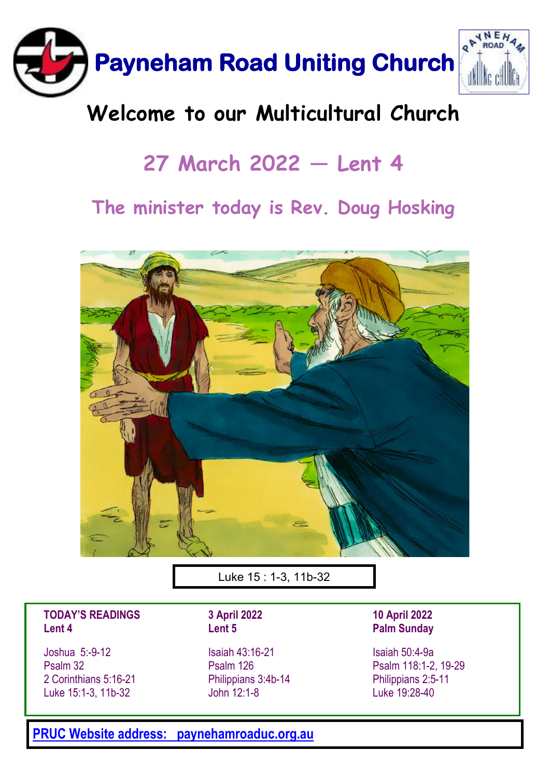

## **Welcome to our Multicultural Church**

# **27 March 2022 — Lent 4**

### **The minister today is Rev. Doug Hosking**



Luke 15 : 1-3, 11b-32

### **TODAY'S READINGS Lent 4**

Joshua 5:-9-12 Psalm 32 2 Corinthians 5:16-21 Luke 15:1-3, 11b-32

**3 April 2022 Lent 5**

Isaiah 43:16-21 Psalm 126 Philippians 3:4b-14 John 12:1-8

**10 April 2022 Palm Sunday**

Isaiah 50:4-9a Psalm 118:1-2, 19-29 Philippians 2:5-11 Luke 19:28-40

**[PRUC Website address: paynehamroaduc.org.au](paynehamroaduc.org.au)**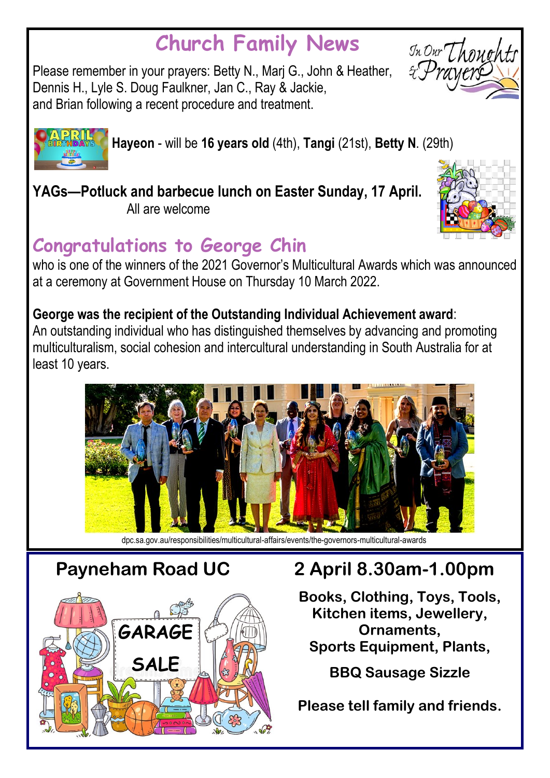# **Church Family News**

Please remember in your prayers: Betty N., Marj G., John & Heather, Dennis H., Lyle S. Doug Faulkner, Jan C., Ray & Jackie, and Brian following a recent procedure and treatment.





**Hayeon** - will be **16 years old** (4th), **Tangi** (21st), **Betty N**. (29th)

**YAGs—Potluck and barbecue lunch on Easter Sunday, 17 April.** 

All are welcome

# **Congratulations to George Chin**

who is one of the winners of the 2021 Governor's Multicultural Awards which was announced at a ceremony at Government House on Thursday 10 March 2022.

### **George was the recipient of the Outstanding Individual Achievement award**:

An outstanding individual who has distinguished themselves by advancing and promoting multiculturalism, social cohesion and intercultural understanding in South Australia for at least 10 years.



dpc.sa.gov.au/responsibilities/multicultural-affairs/events/the-governors-multicultural-awards



## **Payneham Road UC 2 April 8.30am-1.00pm**

**Books, Clothing, Toys, Tools, Kitchen items, Jewellery, Ornaments, Sports Equipment, Plants,**

**BBQ Sausage Sizzle**

**Please tell family and friends.**

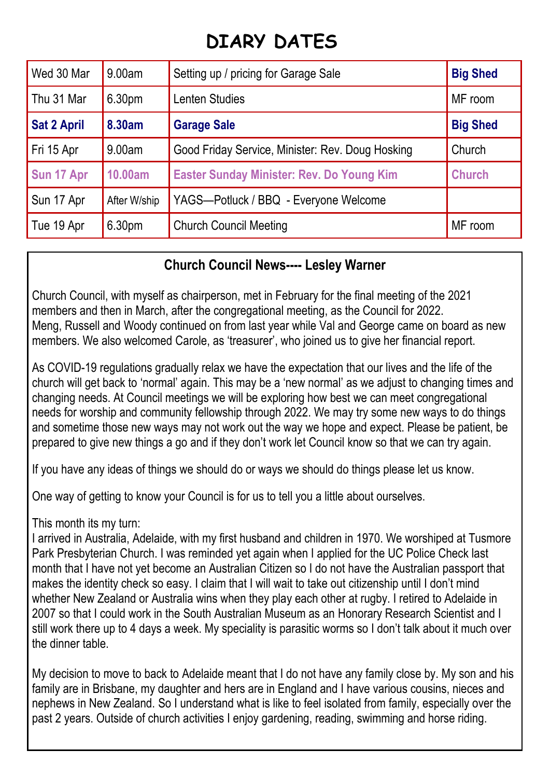### **DIARY DATES**

| Wed 30 Mar         | 9.00am             | Setting up / pricing for Garage Sale             | <b>Big Shed</b> |
|--------------------|--------------------|--------------------------------------------------|-----------------|
| Thu 31 Mar         | 6.30 <sub>pm</sub> | Lenten Studies                                   | MF room         |
| <b>Sat 2 April</b> | 8.30am             | <b>Garage Sale</b>                               | <b>Big Shed</b> |
| Fri 15 Apr         | 9.00am             | Good Friday Service, Minister: Rev. Doug Hosking | Church          |
| Sun 17 Apr         | 10.00am            | <b>Easter Sunday Minister: Rev. Do Young Kim</b> | <b>Church</b>   |
| Sun 17 Apr         | After W/ship       | YAGS-Potluck / BBQ - Everyone Welcome            |                 |
| Tue 19 Apr         | 6.30 <sub>pm</sub> | <b>Church Council Meeting</b>                    | MF room         |

### **Church Council News---- Lesley Warner**

Church Council, with myself as chairperson, met in February for the final meeting of the 2021 members and then in March, after the congregational meeting, as the Council for 2022. Meng, Russell and Woody continued on from last year while Val and George came on board as new members. We also welcomed Carole, as 'treasurer', who joined us to give her financial report.

As COVID-19 regulations gradually relax we have the expectation that our lives and the life of the church will get back to 'normal' again. This may be a 'new normal' as we adjust to changing times and changing needs. At Council meetings we will be exploring how best we can meet congregational needs for worship and community fellowship through 2022. We may try some new ways to do things and sometime those new ways may not work out the way we hope and expect. Please be patient, be prepared to give new things a go and if they don't work let Council know so that we can try again.

If you have any ideas of things we should do or ways we should do things please let us know.

One way of getting to know your Council is for us to tell you a little about ourselves.

This month its my turn:

I arrived in Australia, Adelaide, with my first husband and children in 1970. We worshiped at Tusmore Park Presbyterian Church. I was reminded yet again when I applied for the UC Police Check last month that I have not yet become an Australian Citizen so I do not have the Australian passport that makes the identity check so easy. I claim that I will wait to take out citizenship until I don't mind whether New Zealand or Australia wins when they play each other at rugby. I retired to Adelaide in 2007 so that I could work in the South Australian Museum as an Honorary Research Scientist and I still work there up to 4 days a week. My speciality is parasitic worms so I don't talk about it much over the dinner table.

My decision to move to back to Adelaide meant that I do not have any family close by. My son and his family are in Brisbane, my daughter and hers are in England and I have various cousins, nieces and nephews in New Zealand. So I understand what is like to feel isolated from family, especially over the past 2 years. Outside of church activities I enjoy gardening, reading, swimming and horse riding.